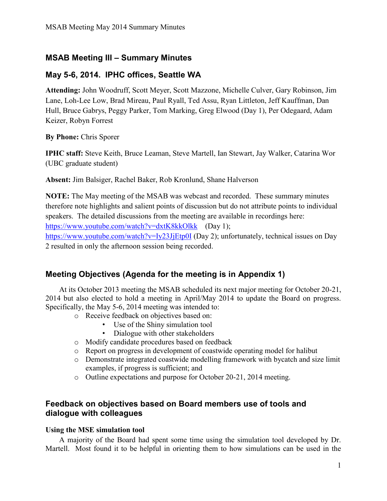## **MSAB Meeting III – Summary Minutes**

## **May 5-6, 2014. IPHC offices, Seattle WA**

**Attending:** John Woodruff, Scott Meyer, Scott Mazzone, Michelle Culver, Gary Robinson, Jim Lane, Loh-Lee Low, Brad Mireau, Paul Ryall, Ted Assu, Ryan Littleton, Jeff Kauffman, Dan Hull, Bruce Gabrys, Peggy Parker, Tom Marking, Greg Elwood (Day 1), Per Odegaard, Adam Keizer, Robyn Forrest

**By Phone:** Chris Sporer

**IPHC staff:** Steve Keith, Bruce Leaman, Steve Martell, Ian Stewart, Jay Walker, Catarina Wor (UBC graduate student)

**Absent:** Jim Balsiger, Rachel Baker, Rob Kronlund, Shane Halverson

**NOTE:** The May meeting of the MSAB was webcast and recorded. These summary minutes therefore note highlights and salient points of discussion but do not attribute points to individual speakers. The detailed discussions from the meeting are available in recordings here: <https://www.youtube.com/watch?v=dxtK8kkOlkk> (Day 1); <https://www.youtube.com/watch?v=Iy23JjEtp0I> (Day 2); unfortunately, technical issues on Day 2 resulted in only the afternoon session being recorded.

## **Meeting Objectives (Agenda for the meeting is in Appendix 1)**

At its October 2013 meeting the MSAB scheduled its next major meeting for October 20-21, 2014 but also elected to hold a meeting in April/May 2014 to update the Board on progress. Specifically, the May 5-6, 2014 meeting was intended to:

- o Receive feedback on objectives based on:
	- Use of the Shiny simulation tool
	- Dialogue with other stakeholders
- o Modify candidate procedures based on feedback
- o Report on progress in development of coastwide operating model for halibut
- o Demonstrate integrated coastwide modelling framework with bycatch and size limit examples, if progress is sufficient; and
- o Outline expectations and purpose for October 20-21, 2014 meeting.

### **Feedback on objectives based on Board members use of tools and dialogue with colleagues**

### **Using the MSE simulation tool**

A majority of the Board had spent some time using the simulation tool developed by Dr. Martell. Most found it to be helpful in orienting them to how simulations can be used in the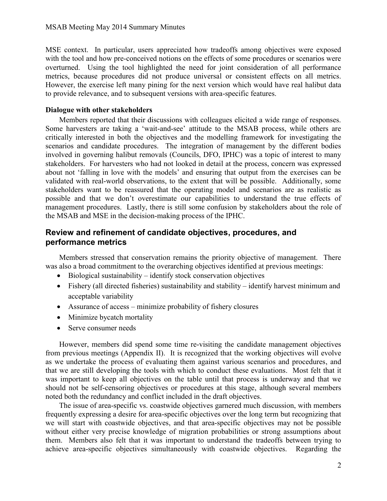MSE context. In particular, users appreciated how tradeoffs among objectives were exposed with the tool and how pre-conceived notions on the effects of some procedures or scenarios were overturned. Using the tool highlighted the need for joint consideration of all performance metrics, because procedures did not produce universal or consistent effects on all metrics. However, the exercise left many pining for the next version which would have real halibut data to provide relevance, and to subsequent versions with area-specific features.

#### **Dialogue with other stakeholders**

Members reported that their discussions with colleagues elicited a wide range of responses. Some harvesters are taking a 'wait-and-see' attitude to the MSAB process, while others are critically interested in both the objectives and the modelling framework for investigating the scenarios and candidate procedures. The integration of management by the different bodies involved in governing halibut removals (Councils, DFO, IPHC) was a topic of interest to many stakeholders. For harvesters who had not looked in detail at the process, concern was expressed about not 'falling in love with the models' and ensuring that output from the exercises can be validated with real-world observations, to the extent that will be possible. Additionally, some stakeholders want to be reassured that the operating model and scenarios are as realistic as possible and that we don't overestimate our capabilities to understand the true effects of management procedures. Lastly, there is still some confusion by stakeholders about the role of the MSAB and MSE in the decision-making process of the IPHC.

### **Review and refinement of candidate objectives, procedures, and performance metrics**

Members stressed that conservation remains the priority objective of management. There was also a broad commitment to the overarching objectives identified at previous meetings:

- $\bullet$  Biological sustainability identify stock conservation objectives
- Fishery (all directed fisheries) sustainability and stability identify harvest minimum and acceptable variability
- Assurance of access minimize probability of fishery closures
- Minimize bycatch mortality
- Serve consumer needs

However, members did spend some time re-visiting the candidate management objectives from previous meetings (Appendix II). It is recognized that the working objectives will evolve as we undertake the process of evaluating them against various scenarios and procedures, and that we are still developing the tools with which to conduct these evaluations. Most felt that it was important to keep all objectives on the table until that process is underway and that we should not be self-censoring objectives or procedures at this stage, although several members noted both the redundancy and conflict included in the draft objectives.

The issue of area-specific vs. coastwide objectives garnered much discussion, with members frequently expressing a desire for area-specific objectives over the long term but recognizing that we will start with coastwide objectives, and that area-specific objectives may not be possible without either very precise knowledge of migration probabilities or strong assumptions about them. Members also felt that it was important to understand the tradeoffs between trying to achieve area-specific objectives simultaneously with coastwide objectives. Regarding the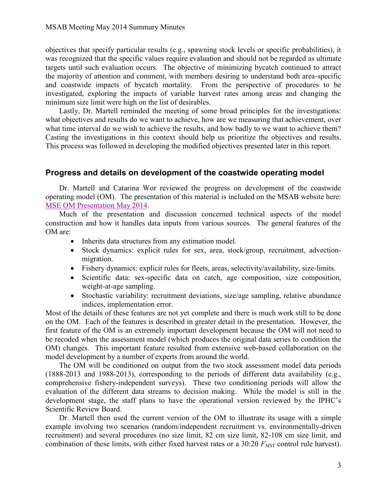objectives that specify particular results (e.g., spawning stock levels or specific probabilities), it was recognized that the specific values require evaluation and should not be regarded as ultimate targets until such evaluation occurs. The objective of minimizing bycatch continued to attract the majority of attention and comment, with members desiring to understand both area-specific and coastwide impacts of bycatch mortality. From the perspective of procedures to be investigated, exploring the impacts of variable harvest rates among areas and changing the minimum size limit were high on the list of desirables.

Lastly, Dr. Martell reminded the meeting of some broad principles for the investigations: what objectives and results do we want to achieve, how are we measuring that achievement, over what time interval do we wish to achieve the results, and how badly to we want to achieve them? Casting the investigations in this context should help us prioritize the objectives and results. This process was followed in developing the modified objectives presented later in this report.

#### **Progress and details on development of the coastwide operating model**

Dr. Martell and Catarina Wor reviewed the progress on development of the coastwide operating model (OM). The presentation of this material is included on the MSAB website here: [MSE OM Presentation May 2014.](https://iphchalibut-public.sharepoint.com/MSAB%20Documents/MSABMeetingOMMay2014.pdf)

Much of the presentation and discussion concerned technical aspects of the model construction and how it handles data inputs from various sources. The general features of the OM are:

- Inherits data structures from any estimation model.
- Stock dynamics: explicit rules for sex, area, stock/group, recruitment, advectionmigration.
- Fishery dynamics: explicit rules for fleets, areas, selectivity/availability, size-limits.
- Scientific data: sex-specific data on catch, age composition, size composition, weight-at-age sampling.
- Stochastic variability: recruitment deviations, size/age sampling, relative abundance indices, implementation error.

Most of the details of these features are not yet complete and there is much work still to be done on the OM. Each of the features is described in greater detail in the presentation. However, the first feature of the OM is an extremely important development because the OM will not need to be recoded when the assessment model (which produces the original data series to condition the OM) changes. This important feature resulted from extensive web-based collaboration on the model development by a number of experts from around the world.

The OM will be conditioned on output from the two stock assessment model data periods (1888-2013 and 1988-2013), corresponding to the periods of different data availability (e.g., comprehensive fishery-independent surveys). These two conditioning periods will allow the evaluation of the different data streams to decision making. While the model is still in the development stage, the staff plans to have the operational version reviewed by the IPHC's Scientific Review Board.

Dr. Martell then used the current version of the OM to illustrate its usage with a simple example involving two scenarios (random/independent recruitment vs. environmentally-driven recruitment) and several procedures (no size limit, 82 cm size limit, 82-108 cm size limit, and combination of these limits, with either fixed harvest rates or a 30:20 *FMSY* control rule harvest).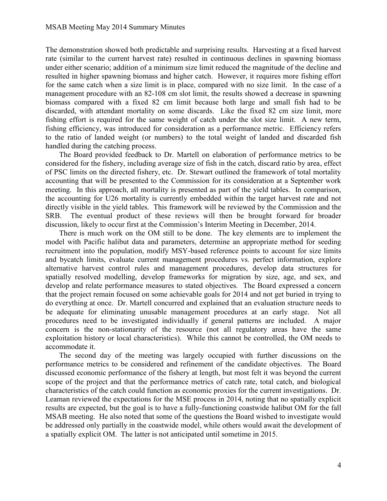The demonstration showed both predictable and surprising results. Harvesting at a fixed harvest rate (similar to the current harvest rate) resulted in continuous declines in spawning biomass under either scenario; addition of a minimum size limit reduced the magnitude of the decline and resulted in higher spawning biomass and higher catch. However, it requires more fishing effort for the same catch when a size limit is in place, compared with no size limit. In the case of a management procedure with an 82-108 cm slot limit, the results showed a decrease in spawning biomass compared with a fixed 82 cm limit because both large and small fish had to be discarded, with attendant mortality on some discards. Like the fixed 82 cm size limit, more fishing effort is required for the same weight of catch under the slot size limit. A new term, fishing efficiency, was introduced for consideration as a performance metric. Efficiency refers to the ratio of landed weight (or numbers) to the total weight of landed and discarded fish handled during the catching process.

The Board provided feedback to Dr. Martell on elaboration of performance metrics to be considered for the fishery, including average size of fish in the catch, discard ratio by area, effect of PSC limits on the directed fishery, etc. Dr. Stewart outlined the framework of total mortality accounting that will be presented to the Commission for its consideration at a September work meeting. In this approach, all mortality is presented as part of the yield tables. In comparison, the accounting for U26 mortality is currently embedded within the target harvest rate and not directly visible in the yield tables. This framework will be reviewed by the Commission and the SRB. The eventual product of these reviews will then be brought forward for broader discussion, likely to occur first at the Commission's Interim Meeting in December, 2014.

There is much work on the OM still to be done. The key elements are to implement the model with Pacific halibut data and parameters, determine an appropriate method for seeding recruitment into the population, modify MSY-based reference points to account for size limits and bycatch limits, evaluate current management procedures vs. perfect information, explore alternative harvest control rules and management procedures, develop data structures for spatially resolved modelling, develop frameworks for migration by size, age, and sex, and develop and relate performance measures to stated objectives. The Board expressed a concern that the project remain focused on some achievable goals for 2014 and not get buried in trying to do everything at once. Dr. Martell concurred and explained that an evaluation structure needs to be adequate for eliminating unusable management procedures at an early stage. Not all procedures need to be investigated individually if general patterns are included. A major concern is the non-stationarity of the resource (not all regulatory areas have the same exploitation history or local characteristics). While this cannot be controlled, the OM needs to accommodate it.

The second day of the meeting was largely occupied with further discussions on the performance metrics to be considered and refinement of the candidate objectives. The Board discussed economic performance of the fishery at length, but most felt it was beyond the current scope of the project and that the performance metrics of catch rate, total catch, and biological characteristics of the catch could function as economic proxies for the current investigations. Dr. Leaman reviewed the expectations for the MSE process in 2014, noting that no spatially explicit results are expected, but the goal is to have a fully-functioning coastwide halibut OM for the fall MSAB meeting. He also noted that some of the questions the Board wished to investigate would be addressed only partially in the coastwide model, while others would await the development of a spatially explicit OM. The latter is not anticipated until sometime in 2015.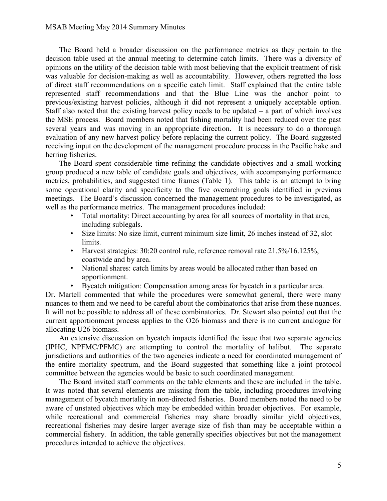The Board held a broader discussion on the performance metrics as they pertain to the decision table used at the annual meeting to determine catch limits. There was a diversity of opinions on the utility of the decision table with most believing that the explicit treatment of risk was valuable for decision-making as well as accountability. However, others regretted the loss of direct staff recommendations on a specific catch limit. Staff explained that the entire table represented staff recommendations and that the Blue Line was the anchor point to previous/existing harvest policies, although it did not represent a uniquely acceptable option. Staff also noted that the existing harvest policy needs to be updated  $-$  a part of which involves the MSE process. Board members noted that fishing mortality had been reduced over the past several years and was moving in an appropriate direction. It is necessary to do a thorough evaluation of any new harvest policy before replacing the current policy. The Board suggested receiving input on the development of the management procedure process in the Pacific hake and herring fisheries.

The Board spent considerable time refining the candidate objectives and a small working group produced a new table of candidate goals and objectives, with accompanying performance metrics, probabilities, and suggested time frames (Table 1). This table is an attempt to bring some operational clarity and specificity to the five overarching goals identified in previous meetings. The Board's discussion concerned the management procedures to be investigated, as well as the performance metrics. The management procedures included:

- Total mortality: Direct accounting by area for all sources of mortality in that area, including sublegals.
- Size limits: No size limit, current minimum size limit, 26 inches instead of 32, slot limits.
- Harvest strategies: 30:20 control rule, reference removal rate 21.5%/16.125%, coastwide and by area.
- National shares: catch limits by areas would be allocated rather than based on apportionment.
- Bycatch mitigation: Compensation among areas for bycatch in a particular area.

Dr. Martell commented that while the procedures were somewhat general, there were many nuances to them and we need to be careful about the combinatorics that arise from these nuances. It will not be possible to address all of these combinatorics. Dr. Stewart also pointed out that the current apportionment process applies to the O26 biomass and there is no current analogue for allocating U26 biomass.

An extensive discussion on bycatch impacts identified the issue that two separate agencies (IPHC, NPFMC/PFMC) are attempting to control the mortality of halibut. The separate jurisdictions and authorities of the two agencies indicate a need for coordinated management of the entire mortality spectrum, and the Board suggested that something like a joint protocol committee between the agencies would be basic to such coordinated management.

The Board invited staff comments on the table elements and these are included in the table. It was noted that several elements are missing from the table, including procedures involving management of bycatch mortality in non-directed fisheries. Board members noted the need to be aware of unstated objectives which may be embedded within broader objectives. For example, while recreational and commercial fisheries may share broadly similar yield objectives, recreational fisheries may desire larger average size of fish than may be acceptable within a commercial fishery. In addition, the table generally specifies objectives but not the management procedures intended to achieve the objectives.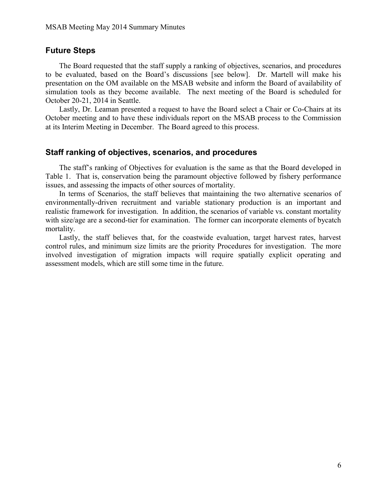#### **Future Steps**

The Board requested that the staff supply a ranking of objectives, scenarios, and procedures to be evaluated, based on the Board's discussions [see below]. Dr. Martell will make his presentation on the OM available on the MSAB website and inform the Board of availability of simulation tools as they become available. The next meeting of the Board is scheduled for October 20-21, 2014 in Seattle.

Lastly, Dr. Leaman presented a request to have the Board select a Chair or Co-Chairs at its October meeting and to have these individuals report on the MSAB process to the Commission at its Interim Meeting in December. The Board agreed to this process.

#### **Staff ranking of objectives, scenarios, and procedures**

The staff's ranking of Objectives for evaluation is the same as that the Board developed in Table 1. That is, conservation being the paramount objective followed by fishery performance issues, and assessing the impacts of other sources of mortality.

In terms of Scenarios, the staff believes that maintaining the two alternative scenarios of environmentally-driven recruitment and variable stationary production is an important and realistic framework for investigation. In addition, the scenarios of variable vs. constant mortality with size/age are a second-tier for examination. The former can incorporate elements of bycatch mortality.

Lastly, the staff believes that, for the coastwide evaluation, target harvest rates, harvest control rules, and minimum size limits are the priority Procedures for investigation. The more involved investigation of migration impacts will require spatially explicit operating and assessment models, which are still some time in the future.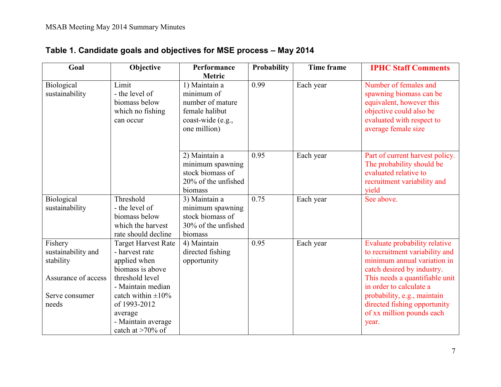| Goal                         | Objective                                                                                | Performance<br>Metric                                                                                  | <b>Probability</b> | Time frame | <b>IPHC Staff Comments</b>                                                                                                                                  |
|------------------------------|------------------------------------------------------------------------------------------|--------------------------------------------------------------------------------------------------------|--------------------|------------|-------------------------------------------------------------------------------------------------------------------------------------------------------------|
| Biological<br>sustainability | Limit<br>- the level of<br>biomass below<br>which no fishing<br>can occur                | 1) Maintain a<br>minimum of<br>number of mature<br>female halibut<br>coast-wide (e.g.,<br>one million) | 0.99               | Each year  | Number of females and<br>spawning biomass can be<br>equivalent, however this<br>objective could also be<br>evaluated with respect to<br>average female size |
|                              |                                                                                          | 2) Maintain a<br>minimum spawning<br>stock biomass of<br>20% of the unfished<br>biomass                | 0.95               | Each year  | Part of current harvest policy.<br>The probability should be<br>evaluated relative to<br>recruitment variability and<br>yield                               |
| Biological<br>sustainability | Threshold<br>- the level of<br>biomass below<br>which the harvest<br>rate should decline | 3) Maintain a<br>minimum spawning<br>stock biomass of<br>30% of the unfished<br>biomass                | 0.75               | Each year  | See above.                                                                                                                                                  |
| Fishery                      | <b>Target Harvest Rate</b>                                                               | 4) Maintain                                                                                            | 0.95               | Each year  | Evaluate probability relative                                                                                                                               |

# **Table 1. Candidate goals and objectives for MSE process – May 2014**

|                     | biomass below              | stock biomass of    |      |           |                                |
|---------------------|----------------------------|---------------------|------|-----------|--------------------------------|
|                     | which the harvest          | 30% of the unfished |      |           |                                |
|                     | rate should decline        | biomass             |      |           |                                |
| Fishery             | <b>Target Harvest Rate</b> | 4) Maintain         | 0.95 | Each year | Evaluate probability relative  |
| sustainability and  | - harvest rate             | directed fishing    |      |           | to recruitment variability and |
| stability           | applied when               | opportunity         |      |           | minimum annual variation in    |
|                     | biomass is above           |                     |      |           | catch desired by industry.     |
| Assurance of access | threshold level            |                     |      |           | This needs a quantifiable unit |
|                     | - Maintain median          |                     |      |           | in order to calculate a        |
| Serve consumer      | catch within $\pm 10\%$    |                     |      |           | probability, e.g., maintain    |
| needs               | of 1993-2012               |                     |      |           | directed fishing opportunity   |
|                     | average                    |                     |      |           | of xx million pounds each      |
|                     | - Maintain average         |                     |      |           | year.                          |
|                     | catch at $>70\%$ of        |                     |      |           |                                |
|                     |                            |                     |      |           |                                |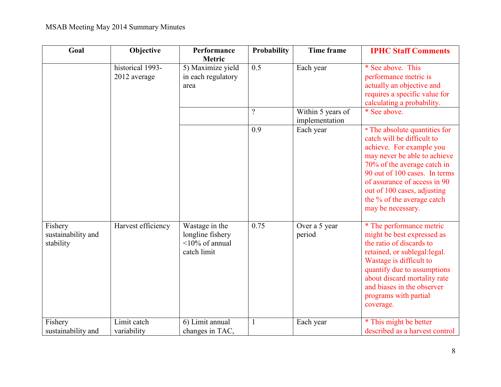# MSAB Meeting May 2014 Summary Minutes

| Goal                                       | Objective                        | Performance<br>Metric                                                     | <b>Probability</b> | <b>Time frame</b>                   | <b>IPHC Staff Comments</b>                                                                                                                                                                                                                                                                                |
|--------------------------------------------|----------------------------------|---------------------------------------------------------------------------|--------------------|-------------------------------------|-----------------------------------------------------------------------------------------------------------------------------------------------------------------------------------------------------------------------------------------------------------------------------------------------------------|
|                                            | historical 1993-<br>2012 average | 5) Maximize yield<br>in each regulatory<br>area                           | 0.5                | Each year                           | * See above. This<br>performance metric is<br>actually an objective and<br>requires a specific value for<br>calculating a probability.                                                                                                                                                                    |
|                                            |                                  |                                                                           | $\gamma$           | Within 5 years of<br>implementation | * See above.                                                                                                                                                                                                                                                                                              |
|                                            |                                  |                                                                           | 0.9                | Each year                           | * The absolute quantities for<br>catch will be difficult to<br>achieve. For example you<br>may never be able to achieve<br>70% of the average catch in<br>90 out of 100 cases. In terms<br>of assurance of access in 90<br>out of 100 cases, adjusting<br>the % of the average catch<br>may be necessary. |
| Fishery<br>sustainability and<br>stability | Harvest efficiency               | Wastage in the<br>longline fishery<br>$\leq$ 10% of annual<br>catch limit | 0.75               | Over a 5 year<br>period             | * The performance metric<br>might be best expressed as<br>the ratio of discards to<br>retained, or sublegal: legal.<br>Wastage is difficult to<br>quantify due to assumptions<br>about discard mortality rate<br>and biases in the observer<br>programs with partial<br>coverage.                         |
| Fishery<br>sustainability and              | Limit catch<br>variability       | 6) Limit annual<br>changes in TAC,                                        | 1                  | Each year                           | * This might be better<br>described as a harvest control                                                                                                                                                                                                                                                  |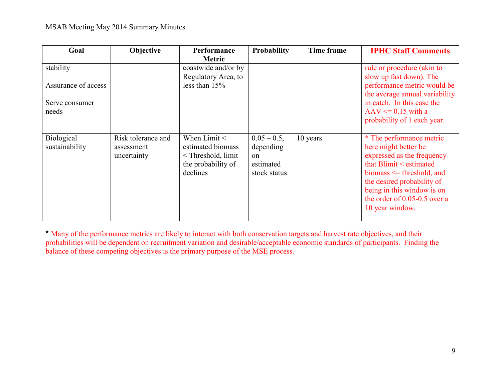| Goal                                                        | Objective                                       | <b>Performance</b><br><b>Metric</b>                                                                         | <b>Probability</b>                                                        | Time frame | <b>IPHC Staff Comments</b>                                                                                                                                                                                                                                        |
|-------------------------------------------------------------|-------------------------------------------------|-------------------------------------------------------------------------------------------------------------|---------------------------------------------------------------------------|------------|-------------------------------------------------------------------------------------------------------------------------------------------------------------------------------------------------------------------------------------------------------------------|
| stability<br>Assurance of access<br>Serve consumer<br>needs |                                                 | coastwide and/or by<br>Regulatory Area, to<br>less than $15%$                                               |                                                                           |            | rule or procedure (akin to<br>slow up fast down). The<br>performance metric would be<br>the average annual variability<br>in catch. In this case the<br>$AAV \le 0.15$ with a<br>probability of 1 each year.                                                      |
| Biological<br>sustainability                                | Risk tolerance and<br>assessment<br>uncertainty | When $Limit <$<br>estimated biomass<br><threshold, limit<br="">the probability of<br/>declines</threshold,> | $0.05 - 0.5$ ,<br>depending<br><sub>on</sub><br>estimated<br>stock status | 10 years   | * The performance metric<br>here might better be<br>expressed as the frequency<br>that $B$ limit $\leq$ estimated<br>biomass $\leq$ threshold, and<br>the desired probability of<br>being in this window is on<br>the order of 0.05-0.5 over a<br>10 year window. |

**\*** Many of the performance metrics are likely to interact with both conservation targets and harvest rate objectives, and their probabilities will be dependent on recruitment variation and desirable/acceptable economic standards of participants. Finding the balance of these competing objectives is the primary purpose of the MSE process.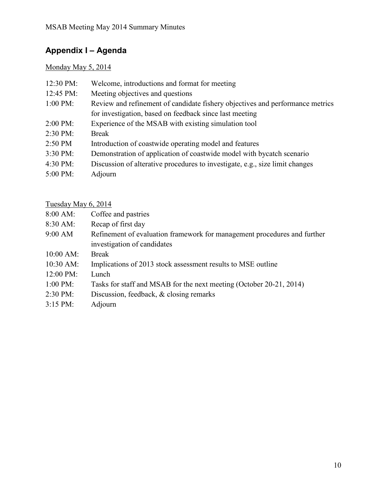# **Appendix I – Agenda**

# Monday May 5, 2014

| $12:30 \text{ PM}$ : | Welcome, introductions and format for meeting                                 |
|----------------------|-------------------------------------------------------------------------------|
| 12:45 PM:            | Meeting objectives and questions                                              |
| $1:00 \text{ PM}$ :  | Review and refinement of candidate fishery objectives and performance metrics |
|                      | for investigation, based on feedback since last meeting                       |
| $2:00 \text{ PM}$ :  | Experience of the MSAB with existing simulation tool                          |
| $2:30 \text{ PM}$ :  | <b>Break</b>                                                                  |
| 2:50 PM              | Introduction of coastwide operating model and features                        |
| 3:30 PM:             | Demonstration of application of coastwide model with bycatch scenario         |
| 4:30 PM:             | Discussion of alterative procedures to investigate, e.g., size limit changes  |
| $5:00 \text{ PM}$ :  | Adjourn                                                                       |

# Tuesday May 6, 2014

| $8:00 \text{ AM}$ :  | Coffee and pastries                                                                                     |
|----------------------|---------------------------------------------------------------------------------------------------------|
| $8:30 \text{ AM}$ :  | Recap of first day                                                                                      |
| 9:00 AM              | Refinement of evaluation framework for management procedures and further<br>investigation of candidates |
| $10:00$ AM:          | <b>Break</b>                                                                                            |
| $10:30$ AM:          | Implications of 2013 stock assessment results to MSE outline                                            |
| $12:00 \text{ PM}$ : | Lunch                                                                                                   |
| $1:00 \text{ PM}$ :  | Tasks for staff and MSAB for the next meeting (October 20-21, 2014)                                     |
| 2:30 PM:             | Discussion, feedback, $\&$ closing remarks                                                              |
| $3:15 \text{ PM}$ :  | Adjourn                                                                                                 |